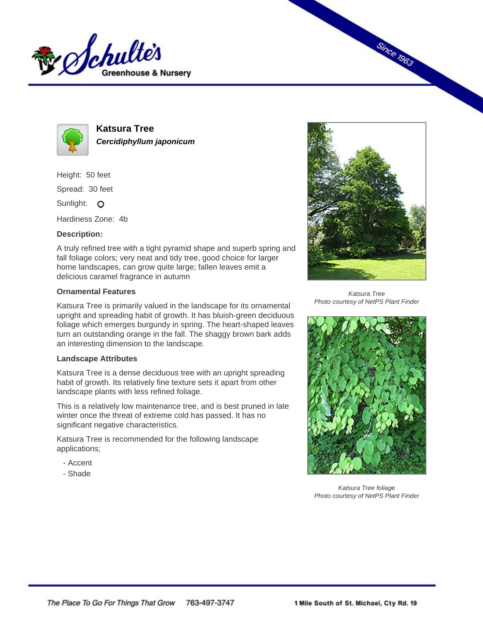



**Katsura Tree Cercidiphyllum japonicum**

Height: 50 feet Spread: 30 feet Sunlight: O

Hardiness Zone: 4b

## **Description:**

A truly refined tree with a tight pyramid shape and superb spring and fall foliage colors; very neat and tidy tree, good choice for larger home landscapes, can grow quite large; fallen leaves emit a delicious caramel fragrance in autumn

## **Ornamental Features**

Katsura Tree is primarily valued in the landscape for its ornamental upright and spreading habit of growth. It has bluish-green deciduous foliage which emerges burgundy in spring. The heart-shaped leaves turn an outstanding orange in the fall. The shaggy brown bark adds an interesting dimension to the landscape.

## **Landscape Attributes**

Katsura Tree is a dense deciduous tree with an upright spreading habit of growth. Its relatively fine texture sets it apart from other landscape plants with less refined foliage.

This is a relatively low maintenance tree, and is best pruned in late winter once the threat of extreme cold has passed. It has no significant negative characteristics.

Katsura Tree is recommended for the following landscape applications;

- Accent
- Shade



**Since 1963** 

Katsura Tree Photo courtesy of NetPS Plant Finder



Katsura Tree foliage Photo courtesy of NetPS Plant Finder